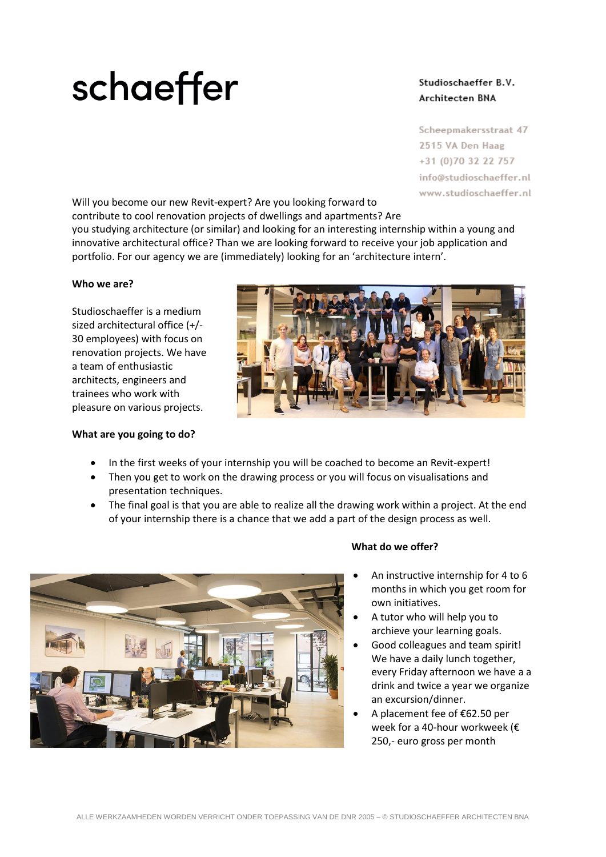# schaeffer

## Studioschaeffer B.V. Architecten BNA

Scheepmakersstraat 47 2515 VA Den Haag +31 (0)70 32 22 757 info@studioschaeffer.nl www.studioschaeffer.nl

Will you become our new Revit-expert? Are you looking forward to contribute to cool renovation projects of dwellings and apartments? Are

you studying architecture (or similar) and looking for an interesting internship within a young and innovative architectural office? Than we are looking forward to receive your job application and portfolio. For our agency we are (immediately) looking for an 'architecture intern'.

### **Who we are?**

Studioschaeffer is a medium sized architectural office (+/- 30 employees) with focus on renovation projects. We have a team of enthusiastic architects, engineers and trainees who work with pleasure on various projects.

### **What are you going to do?**



- Then you get to work on the drawing process or you will focus on visualisations and presentation techniques.
- The final goal is that you are able to realize all the drawing work within a project. At the end of your internship there is a chance that we add a part of the design process as well.



## **What do we offer?**

- An instructive internship for 4 to 6 months in which you get room for own initiatives.
- A tutor who will help you to archieve your learning goals.
- Good colleagues and team spirit! We have a daily lunch together, every Friday afternoon we have a a drink and twice a year we organize an excursion/dinner.
- A placement fee of €62.50 per week for a 40-hour workweek (€ 250,- euro gross per month